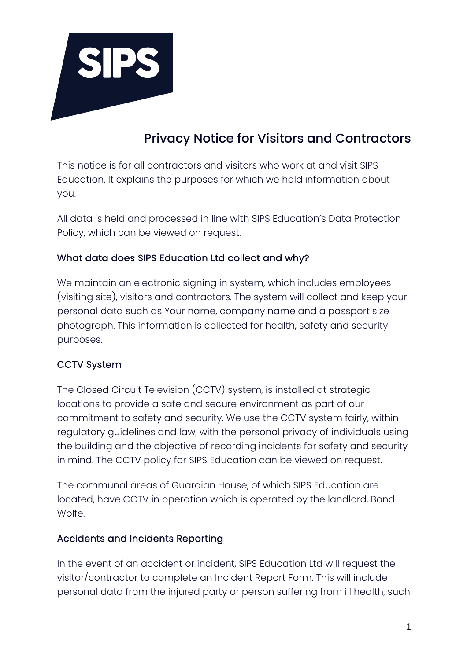

# Privacy Notice for Visitors and Contractors

This notice is for all contractors and visitors who work at and visit SIPS Education. It explains the purposes for which we hold information about you.

All data is held and processed in line with SIPS Education's Data Protection Policy, which can be viewed on request.

## What data does SIPS Education Ltd collect and why?

We maintain an electronic signing in system, which includes employees (visiting site), visitors and contractors. The system will collect and keep your personal data such as Your name, company name and a passport size photograph. This information is collected for health, safety and security purposes.

#### CCTV System

The Closed Circuit Television (CCTV) system, is installed at strategic locations to provide a safe and secure environment as part of our commitment to safety and security. We use the CCTV system fairly, within regulatory guidelines and law, with the personal privacy of individuals using the building and the objective of recording incidents for safety and security in mind. The CCTV policy for SIPS Education can be viewed on request.

The communal areas of Guardian House, of which SIPS Education are located, have CCTV in operation which is operated by the landlord, Bond **Wolfe** 

#### Accidents and Incidents Reporting

In the event of an accident or incident, SIPS Education Ltd will request the visitor/contractor to complete an Incident Report Form. This will include personal data from the injured party or person suffering from ill health, such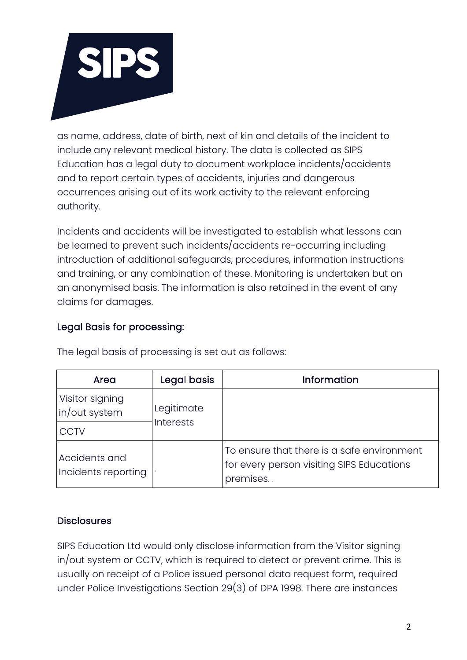

as name, address, date of birth, next of kin and details of the incident to include any relevant medical history. The data is collected as SIPS Education has a legal duty to document workplace incidents/accidents and to report certain types of accidents, injuries and dangerous occurrences arising out of its work activity to the relevant enforcing authority.

Incidents and accidents will be investigated to establish what lessons can be learned to prevent such incidents/accidents re-occurring including introduction of additional safeguards, procedures, information instructions and training, or any combination of these. Monitoring is undertaken but on an anonymised basis. The information is also retained in the event of any claims for damages.

## Legal Basis for processing:

| Area                                 | Legal basis                    | <b>Information</b>                                                                                   |
|--------------------------------------|--------------------------------|------------------------------------------------------------------------------------------------------|
| Visitor signing<br>in/out system     | Legitimate<br><b>Interests</b> |                                                                                                      |
| <b>CCTV</b>                          |                                |                                                                                                      |
| Accidents and<br>Incidents reporting |                                | To ensure that there is a safe environment<br>for every person visiting SIPS Educations<br>premises. |

The legal basis of processing is set out as follows:

## **Disclosures**

SIPS Education Ltd would only disclose information from the Visitor signing in/out system or CCTV, which is required to detect or prevent crime. This is usually on receipt of a Police issued personal data request form, required under Police Investigations Section 29(3) of DPA 1998. There are instances